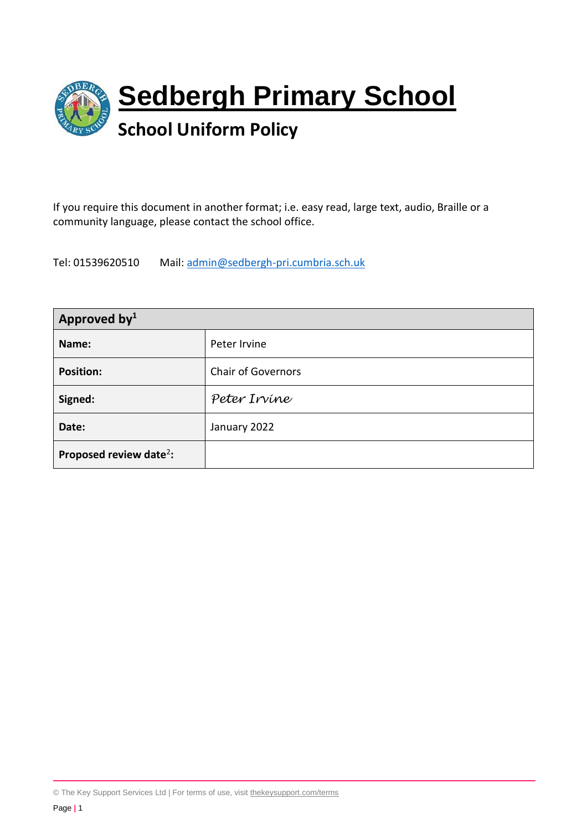

If you require this document in another format; i.e. easy read, large text, audio, Braille or a community language, please contact the school office.

Tel: 01539620510 Mail: [admin@sedbergh-pri.cumbria.sch.uk](mailto:admin@sedbergh-pri.cumbria.sch.uk)

| Approved by <sup>1</sup>            |                           |
|-------------------------------------|---------------------------|
| Name:                               | Peter Irvine              |
| <b>Position:</b>                    | <b>Chair of Governors</b> |
| Signed:                             | Peter Irvine              |
| Date:                               | January 2022              |
| Proposed review date <sup>2</sup> : |                           |

<sup>©</sup> The Key Support Services Ltd | For terms of use, visit [thekeysupport.com/terms](https://thekeysupport.com/terms-of-use)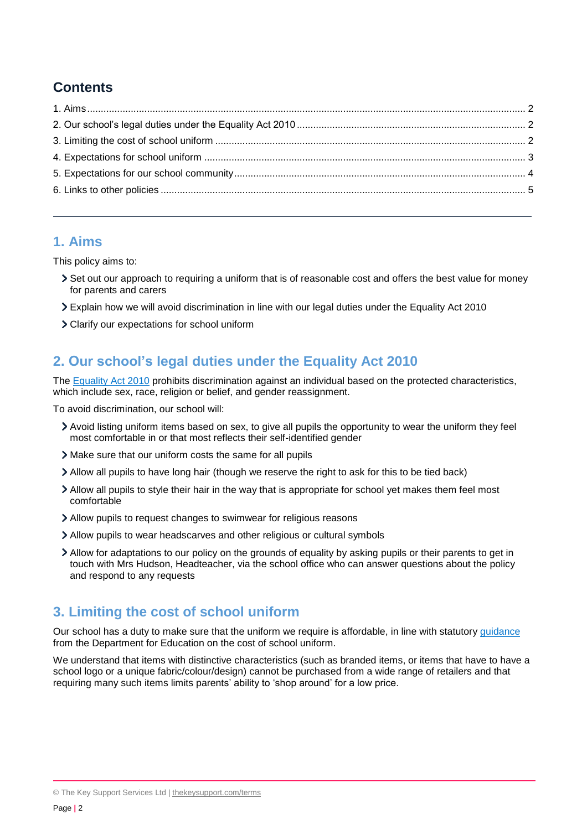# **Contents**

### <span id="page-1-0"></span>**1. Aims**

This policy aims to:

- Set out our approach to requiring a uniform that is of reasonable cost and offers the best value for money for parents and carers
- Explain how we will avoid discrimination in line with our legal duties under the Equality Act 2010
- Clarify our expectations for school uniform

# <span id="page-1-1"></span>**2. Our school's legal duties under the Equality Act 2010**

The [Equality Act 2010](https://www.legislation.gov.uk/ukpga/2010/15/contents) prohibits discrimination against an individual based on the protected characteristics, which include sex, race, religion or belief, and gender reassignment.

To avoid discrimination, our school will:

- Avoid listing uniform items based on sex, to give all pupils the opportunity to wear the uniform they feel most comfortable in or that most reflects their self-identified gender
- Make sure that our uniform costs the same for all pupils
- Allow all pupils to have long hair (though we reserve the right to ask for this to be tied back)
- Allow all pupils to style their hair in the way that is appropriate for school yet makes them feel most comfortable
- Allow pupils to request changes to swimwear for religious reasons
- Allow pupils to wear headscarves and other religious or cultural symbols
- Allow for adaptations to our policy on the grounds of equality by asking pupils or their parents to get in touch with Mrs Hudson, Headteacher, via the school office who can answer questions about the policy and respond to any requests

### <span id="page-1-2"></span>**3. Limiting the cost of school uniform**

Our school has a duty to make sure that the uniform we require is affordable, in line with statutory [guidance](https://www.gov.uk/government/publications/cost-of-school-uniforms/cost-of-school-uniforms) from the Department for Education on the cost of school uniform.

We understand that items with distinctive characteristics (such as branded items, or items that have to have a school logo or a unique fabric/colour/design) cannot be purchased from a wide range of retailers and that requiring many such items limits parents' ability to 'shop around' for a low price.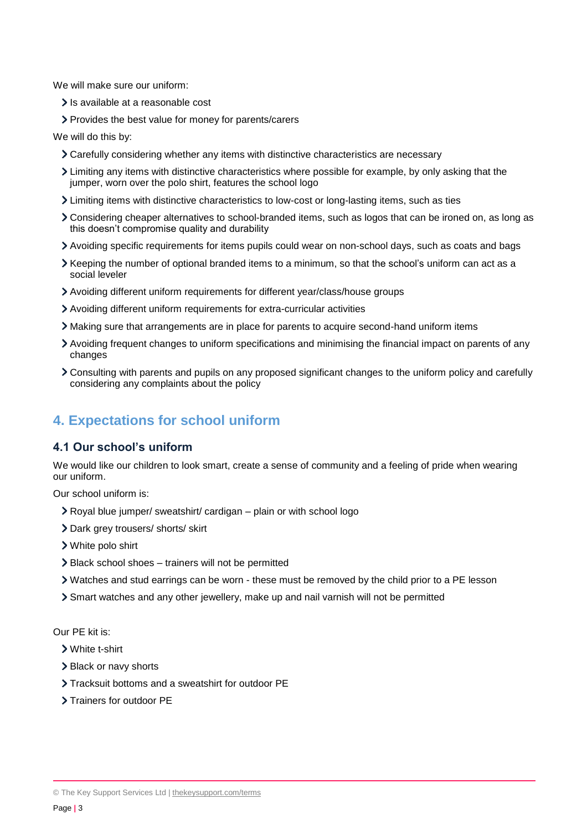We will make sure our uniform:

- > Is available at a reasonable cost
- Provides the best value for money for parents/carers

We will do this by:

- Carefully considering whether any items with distinctive characteristics are necessary
- Limiting any items with distinctive characteristics where possible for example, by only asking that the jumper, worn over the polo shirt, features the school logo
- Limiting items with distinctive characteristics to low-cost or long-lasting items, such as ties
- Considering cheaper alternatives to school-branded items, such as logos that can be ironed on, as long as this doesn't compromise quality and durability
- Avoiding specific requirements for items pupils could wear on non-school days, such as coats and bags
- Keeping the number of optional branded items to a minimum, so that the school's uniform can act as a social leveler
- Avoiding different uniform requirements for different year/class/house groups
- Avoiding different uniform requirements for extra-curricular activities
- Making sure that arrangements are in place for parents to acquire second-hand uniform items
- Avoiding frequent changes to uniform specifications and minimising the financial impact on parents of any changes
- Consulting with parents and pupils on any proposed significant changes to the uniform policy and carefully considering any complaints about the policy

### <span id="page-2-0"></span>**4. Expectations for school uniform**

#### **4.1 Our school's uniform**

We would like our children to look smart, create a sense of community and a feeling of pride when wearing our uniform.

Our school uniform is:

- Royal blue jumper/ sweatshirt/ cardigan plain or with school logo
- Dark grey trousers/ shorts/ skirt
- White polo shirt
- Black school shoes trainers will not be permitted
- Watches and stud earrings can be worn these must be removed by the child prior to a PE lesson
- Smart watches and any other jewellery, make up and nail varnish will not be permitted

Our PE kit is:

- White t-shirt
- > Black or navy shorts
- > Tracksuit bottoms and a sweatshirt for outdoor PE
- > Trainers for outdoor PE

<sup>©</sup> The Key Support Services Ltd | [thekeysupport.com/terms](https://thekeysupport.com/terms-of-use)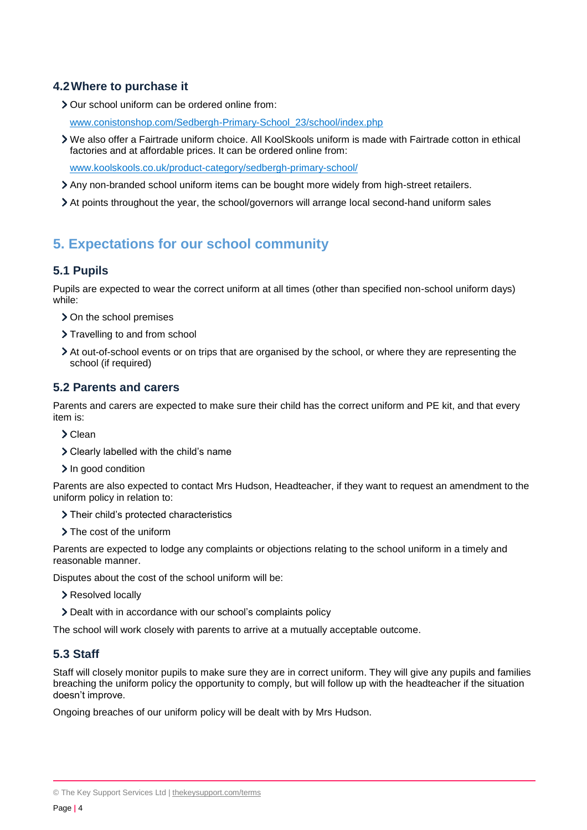### **4.2Where to purchase it**

Our school uniform can be ordered online from:

[www.conistonshop.com/Sedbergh-Primary-School\\_23/school/index.php](http://www.conistonshop.com/Sedbergh-Primary-School_23/school/index.php)

We also offer a Fairtrade uniform choice. All KoolSkools uniform is made with Fairtrade cotton in ethical factories and at affordable prices. It can be ordered online from:

[www.koolskools.co.uk/product-category/sedbergh-primary-school/](http://www.koolskools.co.uk/product-category/sedbergh-primary-school/)

- Any non-branded school uniform items can be bought more widely from high-street retailers.
- At points throughout the year, the school/governors will arrange local second-hand uniform sales

# <span id="page-3-0"></span>**5. Expectations for our school community**

### **5.1 Pupils**

Pupils are expected to wear the correct uniform at all times (other than specified non-school uniform days) while:

- > On the school premises
- > Travelling to and from school
- At out-of-school events or on trips that are organised by the school, or where they are representing the school (if required)

### **5.2 Parents and carers**

Parents and carers are expected to make sure their child has the correct uniform and PE kit, and that every item is:

- > Clean
- Clearly labelled with the child's name
- In good condition

Parents are also expected to contact Mrs Hudson, Headteacher, if they want to request an amendment to the uniform policy in relation to:

> Their child's protected characteristics

> The cost of the uniform

Parents are expected to lodge any complaints or objections relating to the school uniform in a timely and reasonable manner.

Disputes about the cost of the school uniform will be:

- > Resolved locally
- Dealt with in accordance with our school's complaints policy

The school will work closely with parents to arrive at a mutually acceptable outcome.

### **5.3 Staff**

Staff will closely monitor pupils to make sure they are in correct uniform. They will give any pupils and families breaching the uniform policy the opportunity to comply, but will follow up with the headteacher if the situation doesn't improve.

Ongoing breaches of our uniform policy will be dealt with by Mrs Hudson.

<sup>©</sup> The Key Support Services Ltd | [thekeysupport.com/terms](https://thekeysupport.com/terms-of-use)